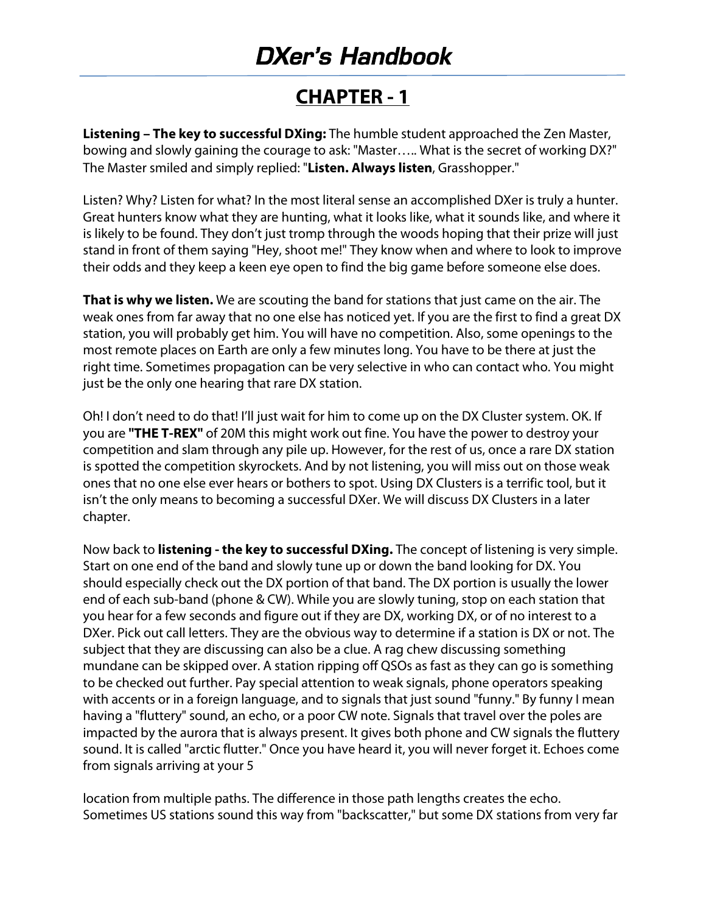#### **CHAPTER ‐ 1**

**Listening – The key to successful DXing:** The humble student approached the Zen Master, bowing and slowly gaining the courage to ask: "Master….. What is the secret of working DX?" The Master smiled and simply replied: "**Listen. Always listen**, Grasshopper."

Listen? Why? Listen for what? In the most literal sense an accomplished DXer is truly a hunter. Great hunters know what they are hunting, what it looks like, what it sounds like, and where it is likely to be found. They don't just tromp through the woods hoping that their prize will just stand in front of them saying "Hey, shoot me!" They know when and where to look to improve their odds and they keep a keen eye open to find the big game before someone else does.

**That is why we listen.** We are scouting the band for stations that just came on the air. The weak ones from far away that no one else has noticed yet. If you are the first to find a great DX station, you will probably get him. You will have no competition. Also, some openings to the most remote places on Earth are only a few minutes long. You have to be there at just the right time. Sometimes propagation can be very selective in who can contact who. You might just be the only one hearing that rare DX station.

Oh! I don't need to do that! I'll just wait for him to come up on the DX Cluster system. OK. If you are **"THE T‐REX"** of 20M this might work out fine. You have the power to destroy your competition and slam through any pile up. However, for the rest of us, once a rare DX station is spotted the competition skyrockets. And by not listening, you will miss out on those weak ones that no one else ever hears or bothers to spot. Using DX Clusters is a terrific tool, but it isn't the only means to becoming a successful DXer. We will discuss DX Clusters in a later chapter.

Now back to **listening ‐ the key to successful DXing.** The concept of listening is very simple. Start on one end of the band and slowly tune up or down the band looking for DX. You should especially check out the DX portion of that band. The DX portion is usually the lower end of each sub-band (phone & CW). While you are slowly tuning, stop on each station that you hear for a few seconds and figure out if they are DX, working DX, or of no interest to a DXer. Pick out call letters. They are the obvious way to determine if a station is DX or not. The subject that they are discussing can also be a clue. A rag chew discussing something mundane can be skipped over. A station ripping off QSOs as fast as they can go is something to be checked out further. Pay special attention to weak signals, phone operators speaking with accents or in a foreign language, and to signals that just sound "funny." By funny I mean having a "fluttery" sound, an echo, or a poor CW note. Signals that travel over the poles are impacted by the aurora that is always present. It gives both phone and CW signals the fluttery sound. It is called "arctic flutter." Once you have heard it, you will never forget it. Echoes come from signals arriving at your 5

location from multiple paths. The difference in those path lengths creates the echo. Sometimes US stations sound this way from "backscatter," but some DX stations from very far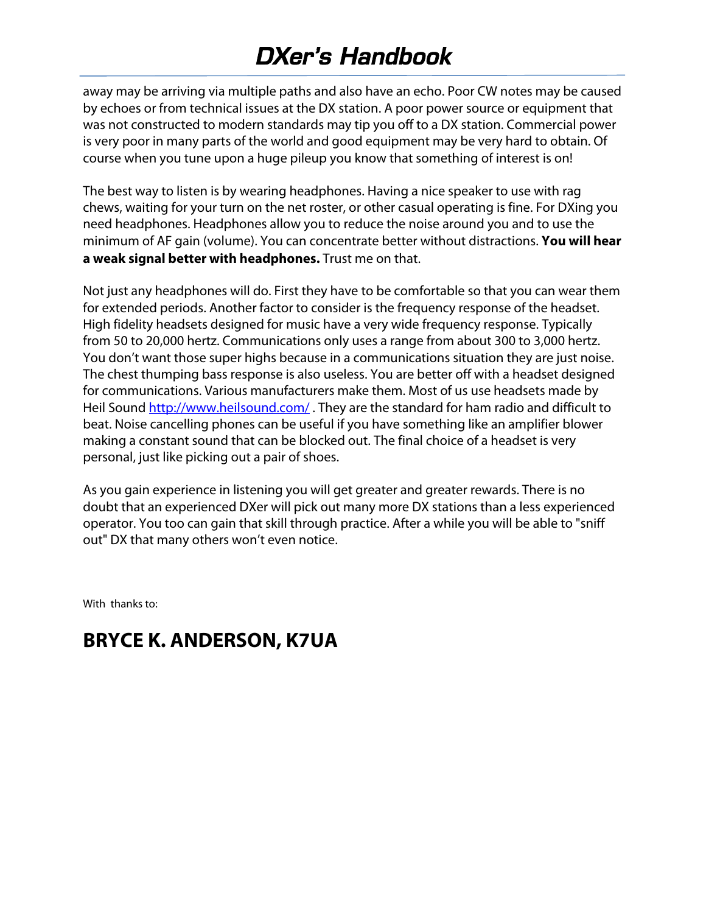away may be arriving via multiple paths and also have an echo. Poor CW notes may be caused by echoes or from technical issues at the DX station. A poor power source or equipment that was not constructed to modern standards may tip you off to a DX station. Commercial power is very poor in many parts of the world and good equipment may be very hard to obtain. Of course when you tune upon a huge pileup you know that something of interest is on!

The best way to listen is by wearing headphones. Having a nice speaker to use with rag chews, waiting for your turn on the net roster, or other casual operating is fine. For DXing you need headphones. Headphones allow you to reduce the noise around you and to use the minimum of AF gain (volume). You can concentrate better without distractions. **You will hear a weak signal better with headphones.** Trust me on that.

Not just any headphones will do. First they have to be comfortable so that you can wear them for extended periods. Another factor to consider is the frequency response of the headset. High fidelity headsets designed for music have a very wide frequency response. Typically from 50 to 20,000 hertz. Communications only uses a range from about 300 to 3,000 hertz. You don't want those super highs because in a communications situation they are just noise. The chest thumping bass response is also useless. You are better off with a headset designed for communications. Various manufacturers make them. Most of us use headsets made by Heil Sound http://www.heilsound.com/. They are the standard for ham radio and difficult to beat. Noise cancelling phones can be useful if you have something like an amplifier blower making a constant sound that can be blocked out. The final choice of a headset is very personal, just like picking out a pair of shoes.

As you gain experience in listening you will get greater and greater rewards. There is no doubt that an experienced DXer will pick out many more DX stations than a less experienced operator. You too can gain that skill through practice. After a while you will be able to "sniff out" DX that many others won't even notice.

With thanks to:

#### **BRYCE K. ANDERSON, K7UA**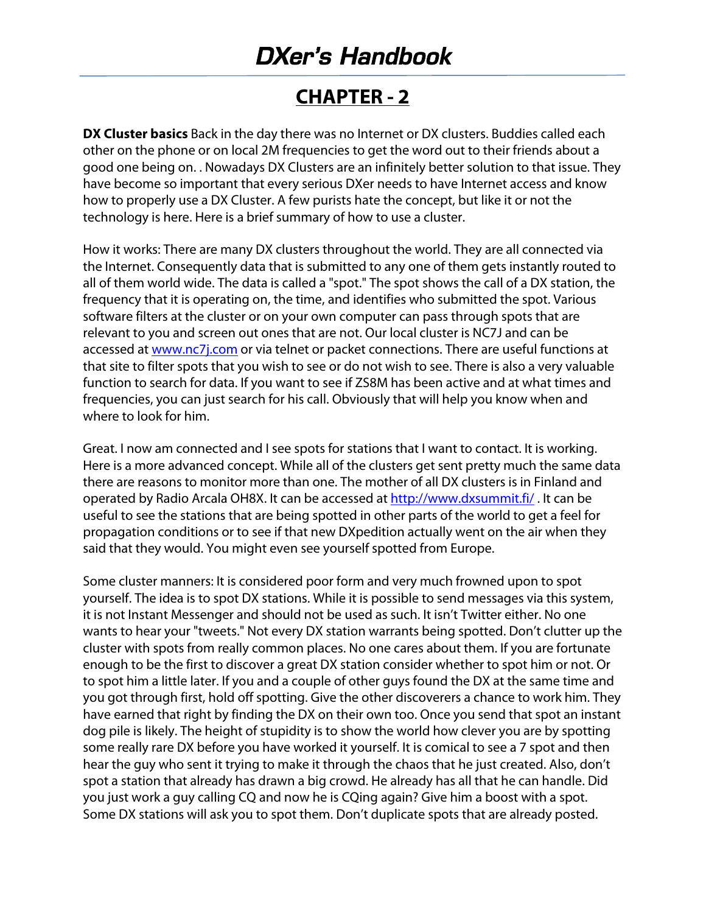#### **CHAPTER ‐ 2**

**DX Cluster basics** Back in the day there was no Internet or DX clusters. Buddies called each other on the phone or on local 2M frequencies to get the word out to their friends about a good one being on. . Nowadays DX Clusters are an infinitely better solution to that issue. They have become so important that every serious DXer needs to have Internet access and know how to properly use a DX Cluster. A few purists hate the concept, but like it or not the technology is here. Here is a brief summary of how to use a cluster.

How it works: There are many DX clusters throughout the world. They are all connected via the Internet. Consequently data that is submitted to any one of them gets instantly routed to all of them world wide. The data is called a "spot." The spot shows the call of a DX station, the frequency that it is operating on, the time, and identifies who submitted the spot. Various software filters at the cluster or on your own computer can pass through spots that are relevant to you and screen out ones that are not. Our local cluster is NC7J and can be accessed at www.nc7j.com or via telnet or packet connections. There are useful functions at that site to filter spots that you wish to see or do not wish to see. There is also a very valuable function to search for data. If you want to see if ZS8M has been active and at what times and frequencies, you can just search for his call. Obviously that will help you know when and where to look for him.

Great. I now am connected and I see spots for stations that I want to contact. It is working. Here is a more advanced concept. While all of the clusters get sent pretty much the same data there are reasons to monitor more than one. The mother of all DX clusters is in Finland and operated by Radio Arcala OH8X. It can be accessed at http://www.dxsummit.fi/ . It can be useful to see the stations that are being spotted in other parts of the world to get a feel for propagation conditions or to see if that new DXpedition actually went on the air when they said that they would. You might even see yourself spotted from Europe.

Some cluster manners: It is considered poor form and very much frowned upon to spot yourself. The idea is to spot DX stations. While it is possible to send messages via this system, it is not Instant Messenger and should not be used as such. It isn't Twitter either. No one wants to hear your "tweets." Not every DX station warrants being spotted. Don't clutter up the cluster with spots from really common places. No one cares about them. If you are fortunate enough to be the first to discover a great DX station consider whether to spot him or not. Or to spot him a little later. If you and a couple of other guys found the DX at the same time and you got through first, hold off spotting. Give the other discoverers a chance to work him. They have earned that right by finding the DX on their own too. Once you send that spot an instant dog pile is likely. The height of stupidity is to show the world how clever you are by spotting some really rare DX before you have worked it yourself. It is comical to see a 7 spot and then hear the guy who sent it trying to make it through the chaos that he just created. Also, don't spot a station that already has drawn a big crowd. He already has all that he can handle. Did you just work a guy calling CQ and now he is CQing again? Give him a boost with a spot. Some DX stations will ask you to spot them. Don't duplicate spots that are already posted.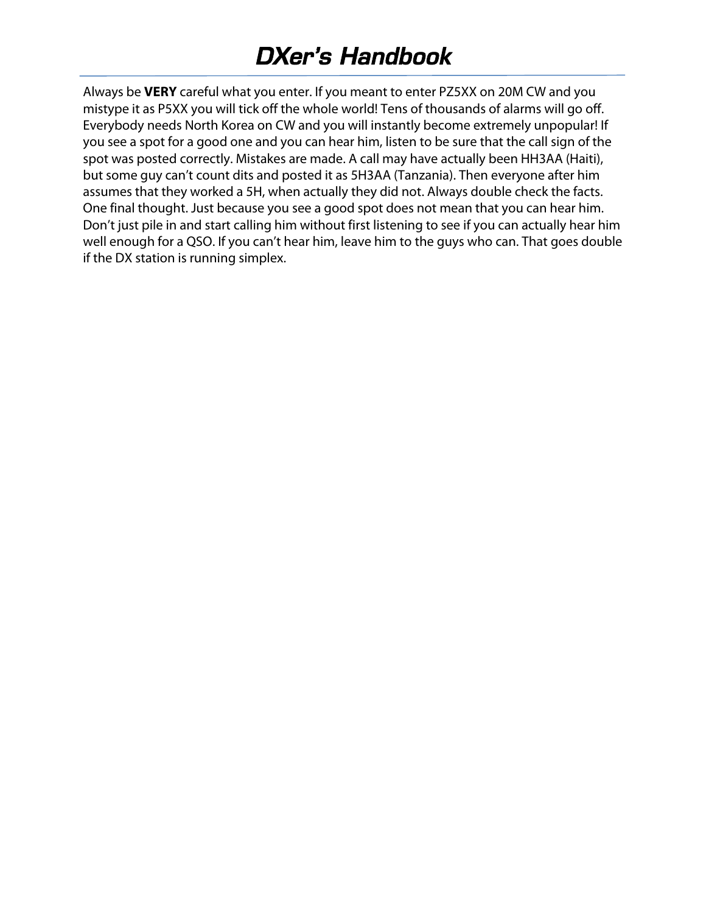Always be **VERY** careful what you enter. If you meant to enter PZ5XX on 20M CW and you mistype it as P5XX you will tick off the whole world! Tens of thousands of alarms will go off. Everybody needs North Korea on CW and you will instantly become extremely unpopular! If you see a spot for a good one and you can hear him, listen to be sure that the call sign of the spot was posted correctly. Mistakes are made. A call may have actually been HH3AA (Haiti), but some guy can't count dits and posted it as 5H3AA (Tanzania). Then everyone after him assumes that they worked a 5H, when actually they did not. Always double check the facts. One final thought. Just because you see a good spot does not mean that you can hear him. Don't just pile in and start calling him without first listening to see if you can actually hear him well enough for a QSO. If you can't hear him, leave him to the guys who can. That goes double if the DX station is running simplex.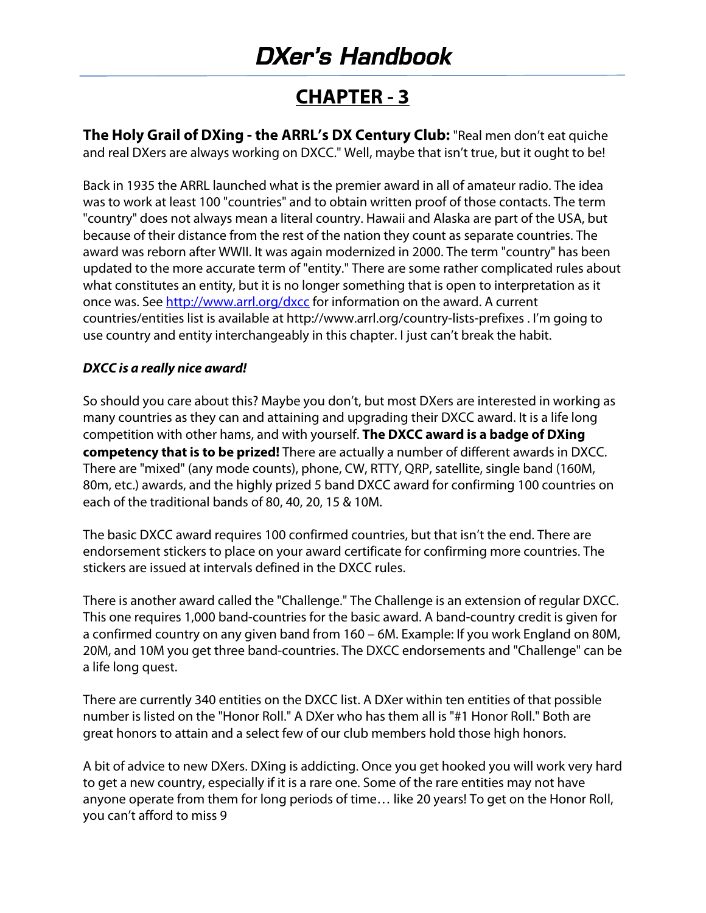#### **CHAPTER ‐ 3**

**The Holy Grail of DXing ‐ the ARRL's DX Century Club:** "Real men don't eat quiche and real DXers are always working on DXCC." Well, maybe that isn't true, but it ought to be!

Back in 1935 the ARRL launched what is the premier award in all of amateur radio. The idea was to work at least 100 "countries" and to obtain written proof of those contacts. The term "country" does not always mean a literal country. Hawaii and Alaska are part of the USA, but because of their distance from the rest of the nation they count as separate countries. The award was reborn after WWII. It was again modernized in 2000. The term "country" has been updated to the more accurate term of "entity." There are some rather complicated rules about what constitutes an entity, but it is no longer something that is open to interpretation as it once was. See http://www.arrl.org/dxcc for information on the award. A current countries/entities list is available at http://www.arrl.org/country‐lists‐prefixes . I'm going to use country and entity interchangeably in this chapter. I just can't break the habit.

#### **DXCC is a really nice award!**

So should you care about this? Maybe you don't, but most DXers are interested in working as many countries as they can and attaining and upgrading their DXCC award. It is a life long competition with other hams, and with yourself. **The DXCC award is a badge of DXing competency that is to be prized!** There are actually a number of different awards in DXCC. There are "mixed" (any mode counts), phone, CW, RTTY, QRP, satellite, single band (160M, 80m, etc.) awards, and the highly prized 5 band DXCC award for confirming 100 countries on each of the traditional bands of 80, 40, 20, 15 & 10M.

The basic DXCC award requires 100 confirmed countries, but that isn't the end. There are endorsement stickers to place on your award certificate for confirming more countries. The stickers are issued at intervals defined in the DXCC rules.

There is another award called the "Challenge." The Challenge is an extension of regular DXCC. This one requires 1,000 band‐countries for the basic award. A band‐country credit is given for a confirmed country on any given band from 160 – 6M. Example: If you work England on 80M, 20M, and 10M you get three band‐countries. The DXCC endorsements and "Challenge" can be a life long quest.

There are currently 340 entities on the DXCC list. A DXer within ten entities of that possible number is listed on the "Honor Roll." A DXer who has them all is "#1 Honor Roll." Both are great honors to attain and a select few of our club members hold those high honors.

A bit of advice to new DXers. DXing is addicting. Once you get hooked you will work very hard to get a new country, especially if it is a rare one. Some of the rare entities may not have anyone operate from them for long periods of time… like 20 years! To get on the Honor Roll, you can't afford to miss 9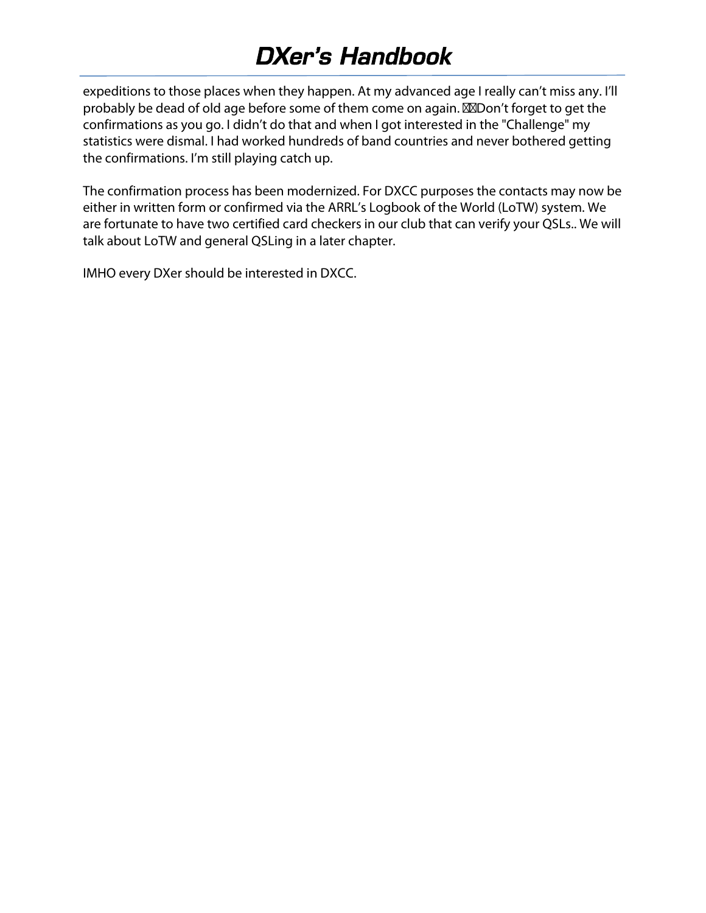expeditions to those places when they happen. At my advanced age I really can't miss any. I'll probably be dead of old age before some of them come on again. **MOO** on't forget to get the confirmations as you go. I didn't do that and when I got interested in the "Challenge" my statistics were dismal. I had worked hundreds of band countries and never bothered getting the confirmations. I'm still playing catch up.

The confirmation process has been modernized. For DXCC purposes the contacts may now be either in written form or confirmed via the ARRL's Logbook of the World (LoTW) system. We are fortunate to have two certified card checkers in our club that can verify your QSLs.. We will talk about LoTW and general QSLing in a later chapter.

IMHO every DXer should be interested in DXCC.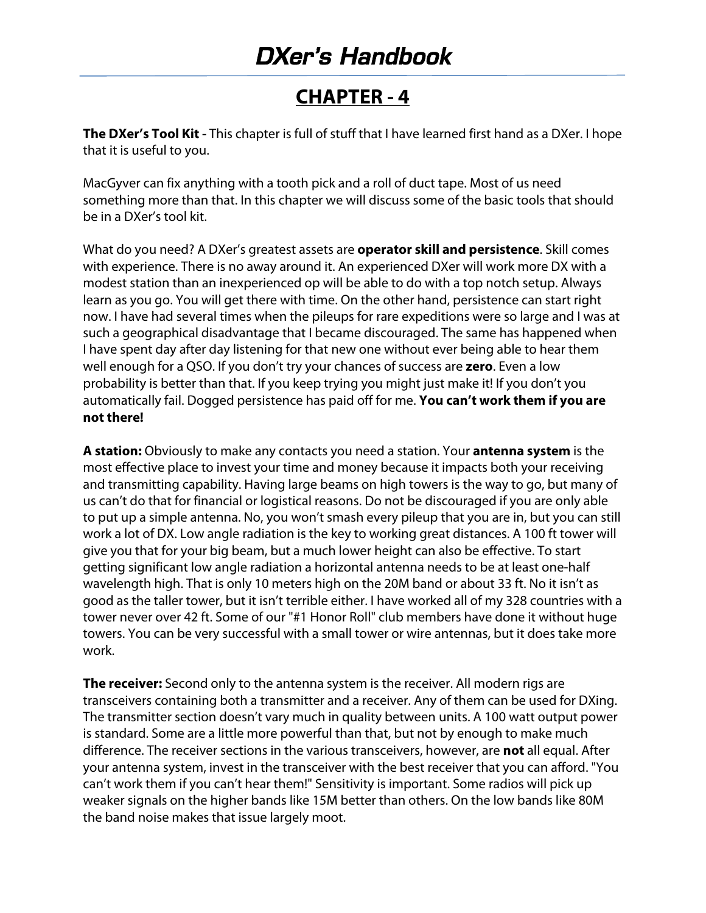#### **CHAPTER ‐ 4**

**The DXer's Tool Kit** - This chapter is full of stuff that I have learned first hand as a DXer. I hope that it is useful to you.

MacGyver can fix anything with a tooth pick and a roll of duct tape. Most of us need something more than that. In this chapter we will discuss some of the basic tools that should be in a DXer's tool kit.

What do you need? A DXer's greatest assets are **operator skill and persistence**. Skill comes with experience. There is no away around it. An experienced DXer will work more DX with a modest station than an inexperienced op will be able to do with a top notch setup. Always learn as you go. You will get there with time. On the other hand, persistence can start right now. I have had several times when the pileups for rare expeditions were so large and I was at such a geographical disadvantage that I became discouraged. The same has happened when I have spent day after day listening for that new one without ever being able to hear them well enough for a QSO. If you don't try your chances of success are **zero**. Even a low probability is better than that. If you keep trying you might just make it! If you don't you automatically fail. Dogged persistence has paid off for me. **You can't work them if you are not there!** 

**A station:** Obviously to make any contacts you need a station. Your **antenna system** is the most effective place to invest your time and money because it impacts both your receiving and transmitting capability. Having large beams on high towers is the way to go, but many of us can't do that for financial or logistical reasons. Do not be discouraged if you are only able to put up a simple antenna. No, you won't smash every pileup that you are in, but you can still work a lot of DX. Low angle radiation is the key to working great distances. A 100 ft tower will give you that for your big beam, but a much lower height can also be effective. To start getting significant low angle radiation a horizontal antenna needs to be at least one‐half wavelength high. That is only 10 meters high on the 20M band or about 33 ft. No it isn't as good as the taller tower, but it isn't terrible either. I have worked all of my 328 countries with a tower never over 42 ft. Some of our "#1 Honor Roll" club members have done it without huge towers. You can be very successful with a small tower or wire antennas, but it does take more work.

**The receiver:** Second only to the antenna system is the receiver. All modern rigs are transceivers containing both a transmitter and a receiver. Any of them can be used for DXing. The transmitter section doesn't vary much in quality between units. A 100 watt output power is standard. Some are a little more powerful than that, but not by enough to make much difference. The receiver sections in the various transceivers, however, are **not** all equal. After your antenna system, invest in the transceiver with the best receiver that you can afford. "You can't work them if you can't hear them!" Sensitivity is important. Some radios will pick up weaker signals on the higher bands like 15M better than others. On the low bands like 80M the band noise makes that issue largely moot.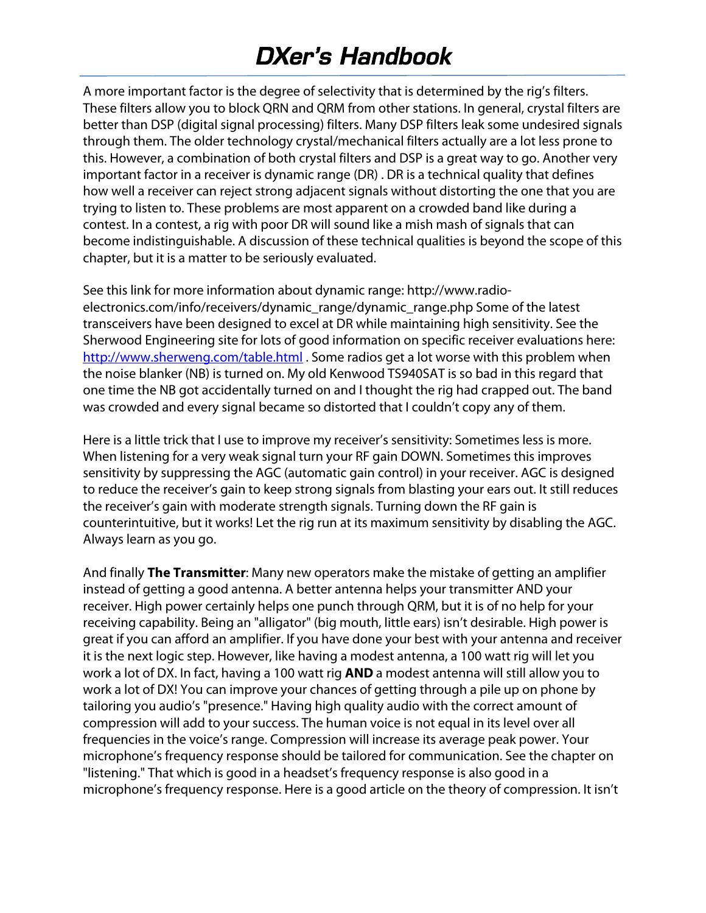A more important factor is the degree of selectivity that is determined by the rig's filters. These filters allow you to block QRN and QRM from other stations. In general, crystal filters are better than DSP (digital signal processing) filters. Many DSP filters leak some undesired signals through them. The older technology crystal/mechanical filters actually are a lot less prone to this. However, a combination of both crystal filters and DSP is a great way to go. Another very important factor in a receiver is dynamic range (DR) . DR is a technical quality that defines how well a receiver can reject strong adjacent signals without distorting the one that you are trying to listen to. These problems are most apparent on a crowded band like during a contest. In a contest, a rig with poor DR will sound like a mish mash of signals that can become indistinguishable. A discussion of these technical qualities is beyond the scope of this chapter, but it is a matter to be seriously evaluated.

See this link for more information about dynamic range: http://www.radio‐ electronics.com/info/receivers/dynamic\_range/dynamic\_range.php Some of the latest transceivers have been designed to excel at DR while maintaining high sensitivity. See the Sherwood Engineering site for lots of good information on specific receiver evaluations here: http://www.sherweng.com/table.html . Some radios get a lot worse with this problem when the noise blanker (NB) is turned on. My old Kenwood TS940SAT is so bad in this regard that one time the NB got accidentally turned on and I thought the rig had crapped out. The band was crowded and every signal became so distorted that I couldn't copy any of them.

Here is a little trick that I use to improve my receiver's sensitivity: Sometimes less is more. When listening for a very weak signal turn your RF gain DOWN. Sometimes this improves sensitivity by suppressing the AGC (automatic gain control) in your receiver. AGC is designed to reduce the receiver's gain to keep strong signals from blasting your ears out. It still reduces the receiver's gain with moderate strength signals. Turning down the RF gain is counterintuitive, but it works! Let the rig run at its maximum sensitivity by disabling the AGC. Always learn as you go.

And finally **The Transmitter**: Many new operators make the mistake of getting an amplifier instead of getting a good antenna. A better antenna helps your transmitter AND your receiver. High power certainly helps one punch through QRM, but it is of no help for your receiving capability. Being an "alligator" (big mouth, little ears) isn't desirable. High power is great if you can afford an amplifier. If you have done your best with your antenna and receiver it is the next logic step. However, like having a modest antenna, a 100 watt rig will let you work a lot of DX. In fact, having a 100 watt rig **AND** a modest antenna will still allow you to work a lot of DX! You can improve your chances of getting through a pile up on phone by tailoring you audio's "presence." Having high quality audio with the correct amount of compression will add to your success. The human voice is not equal in its level over all frequencies in the voice's range. Compression will increase its average peak power. Your microphone's frequency response should be tailored for communication. See the chapter on "listening." That which is good in a headset's frequency response is also good in a microphone's frequency response. Here is a good article on the theory of compression. It isn't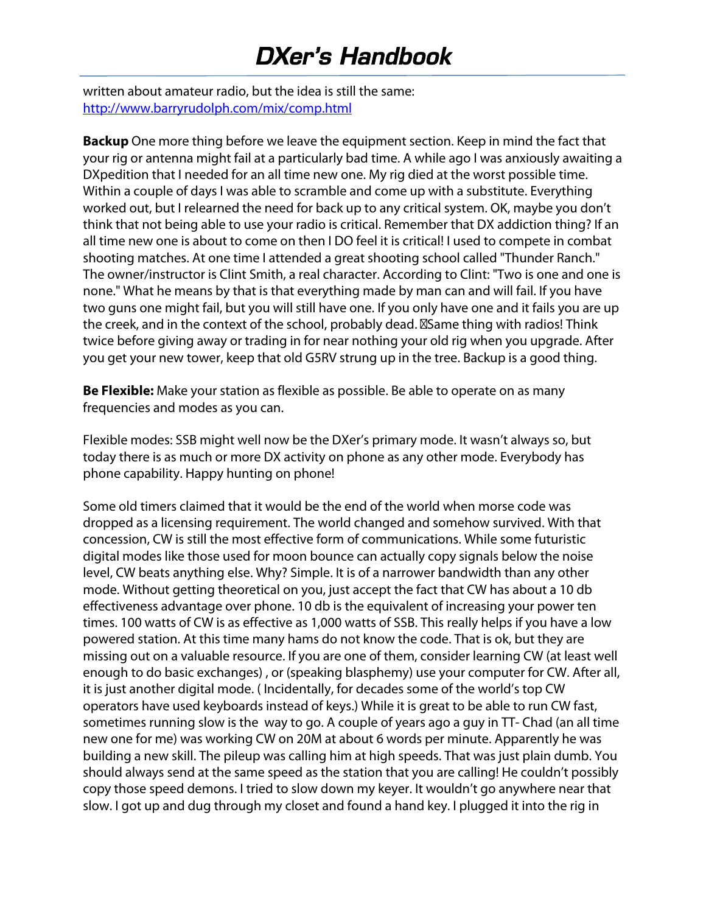written about amateur radio, but the idea is still the same: http://www.barryrudolph.com/mix/comp.html

**Backup** One more thing before we leave the equipment section. Keep in mind the fact that your rig or antenna might fail at a particularly bad time. A while ago I was anxiously awaiting a DXpedition that I needed for an all time new one. My rig died at the worst possible time. Within a couple of days I was able to scramble and come up with a substitute. Everything worked out, but I relearned the need for back up to any critical system. OK, maybe you don't think that not being able to use your radio is critical. Remember that DX addiction thing? If an all time new one is about to come on then I DO feel it is critical! I used to compete in combat shooting matches. At one time I attended a great shooting school called "Thunder Ranch." The owner/instructor is Clint Smith, a real character. According to Clint: "Two is one and one is none." What he means by that is that everything made by man can and will fail. If you have two guns one might fail, but you will still have one. If you only have one and it fails you are up the creek, and in the context of the school, probably dead. **Same thing with radios!** Think twice before giving away or trading in for near nothing your old rig when you upgrade. After you get your new tower, keep that old G5RV strung up in the tree. Backup is a good thing.

**Be Flexible:** Make your station as flexible as possible. Be able to operate on as many frequencies and modes as you can.

Flexible modes: SSB might well now be the DXer's primary mode. It wasn't always so, but today there is as much or more DX activity on phone as any other mode. Everybody has phone capability. Happy hunting on phone!

Some old timers claimed that it would be the end of the world when morse code was dropped as a licensing requirement. The world changed and somehow survived. With that concession, CW is still the most effective form of communications. While some futuristic digital modes like those used for moon bounce can actually copy signals below the noise level, CW beats anything else. Why? Simple. It is of a narrower bandwidth than any other mode. Without getting theoretical on you, just accept the fact that CW has about a 10 db effectiveness advantage over phone. 10 db is the equivalent of increasing your power ten times. 100 watts of CW is as effective as 1,000 watts of SSB. This really helps if you have a low powered station. At this time many hams do not know the code. That is ok, but they are missing out on a valuable resource. If you are one of them, consider learning CW (at least well enough to do basic exchanges) , or (speaking blasphemy) use your computer for CW. After all, it is just another digital mode. ( Incidentally, for decades some of the world's top CW operators have used keyboards instead of keys.) While it is great to be able to run CW fast, sometimes running slow is the way to go. A couple of years ago a guy in TT- Chad (an all time new one for me) was working CW on 20M at about 6 words per minute. Apparently he was building a new skill. The pileup was calling him at high speeds. That was just plain dumb. You should always send at the same speed as the station that you are calling! He couldn't possibly copy those speed demons. I tried to slow down my keyer. It wouldn't go anywhere near that slow. I got up and dug through my closet and found a hand key. I plugged it into the rig in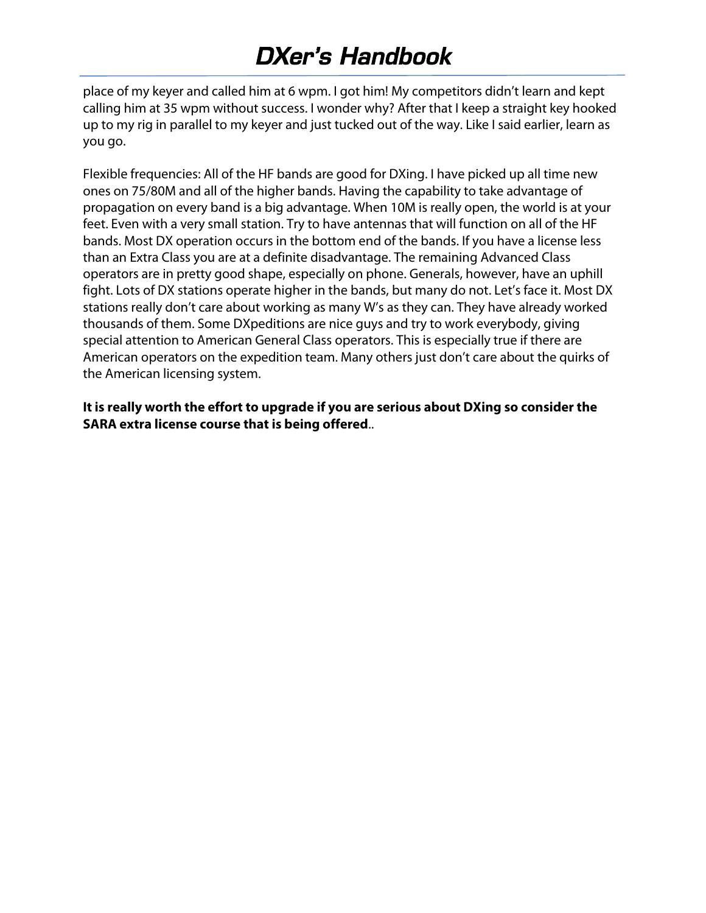place of my keyer and called him at 6 wpm. I got him! My competitors didn't learn and kept calling him at 35 wpm without success. I wonder why? After that I keep a straight key hooked up to my rig in parallel to my keyer and just tucked out of the way. Like I said earlier, learn as you go.

Flexible frequencies: All of the HF bands are good for DXing. I have picked up all time new ones on 75/80M and all of the higher bands. Having the capability to take advantage of propagation on every band is a big advantage. When 10M is really open, the world is at your feet. Even with a very small station. Try to have antennas that will function on all of the HF bands. Most DX operation occurs in the bottom end of the bands. If you have a license less than an Extra Class you are at a definite disadvantage. The remaining Advanced Class operators are in pretty good shape, especially on phone. Generals, however, have an uphill fight. Lots of DX stations operate higher in the bands, but many do not. Let's face it. Most DX stations really don't care about working as many W's as they can. They have already worked thousands of them. Some DXpeditions are nice guys and try to work everybody, giving special attention to American General Class operators. This is especially true if there are American operators on the expedition team. Many others just don't care about the quirks of the American licensing system.

**It is really worth the effort to upgrade if you are serious about DXing so consider the SARA extra license course that is being offered**..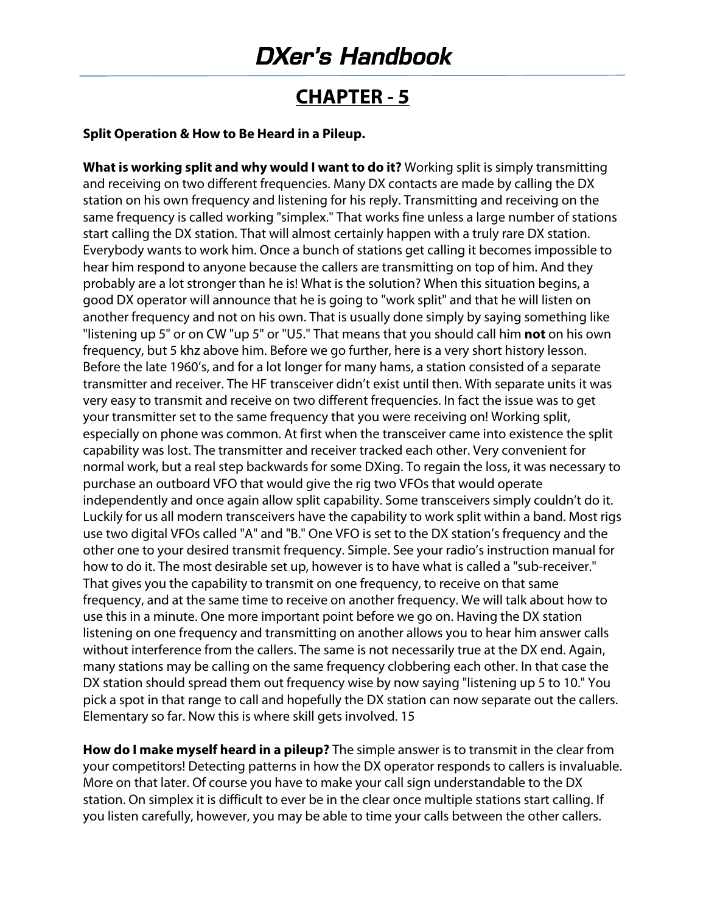#### **CHAPTER ‐ 5**

#### **Split Operation & How to Be Heard in a Pileup.**

**What is working split and why would I want to do it?** Working split is simply transmitting and receiving on two different frequencies. Many DX contacts are made by calling the DX station on his own frequency and listening for his reply. Transmitting and receiving on the same frequency is called working "simplex." That works fine unless a large number of stations start calling the DX station. That will almost certainly happen with a truly rare DX station. Everybody wants to work him. Once a bunch of stations get calling it becomes impossible to hear him respond to anyone because the callers are transmitting on top of him. And they probably are a lot stronger than he is! What is the solution? When this situation begins, a good DX operator will announce that he is going to "work split" and that he will listen on another frequency and not on his own. That is usually done simply by saying something like "listening up 5" or on CW "up 5" or "U5." That means that you should call him **not** on his own frequency, but 5 khz above him. Before we go further, here is a very short history lesson. Before the late 1960's, and for a lot longer for many hams, a station consisted of a separate transmitter and receiver. The HF transceiver didn't exist until then. With separate units it was very easy to transmit and receive on two different frequencies. In fact the issue was to get your transmitter set to the same frequency that you were receiving on! Working split, especially on phone was common. At first when the transceiver came into existence the split capability was lost. The transmitter and receiver tracked each other. Very convenient for normal work, but a real step backwards for some DXing. To regain the loss, it was necessary to purchase an outboard VFO that would give the rig two VFOs that would operate independently and once again allow split capability. Some transceivers simply couldn't do it. Luckily for us all modern transceivers have the capability to work split within a band. Most rigs use two digital VFOs called "A" and "B." One VFO is set to the DX station's frequency and the other one to your desired transmit frequency. Simple. See your radio's instruction manual for how to do it. The most desirable set up, however is to have what is called a "sub-receiver." That gives you the capability to transmit on one frequency, to receive on that same frequency, and at the same time to receive on another frequency. We will talk about how to use this in a minute. One more important point before we go on. Having the DX station listening on one frequency and transmitting on another allows you to hear him answer calls without interference from the callers. The same is not necessarily true at the DX end. Again, many stations may be calling on the same frequency clobbering each other. In that case the DX station should spread them out frequency wise by now saying "listening up 5 to 10." You pick a spot in that range to call and hopefully the DX station can now separate out the callers. Elementary so far. Now this is where skill gets involved. 15

**How do I make myself heard in a pileup?** The simple answer is to transmit in the clear from your competitors! Detecting patterns in how the DX operator responds to callers is invaluable. More on that later. Of course you have to make your call sign understandable to the DX station. On simplex it is difficult to ever be in the clear once multiple stations start calling. If you listen carefully, however, you may be able to time your calls between the other callers.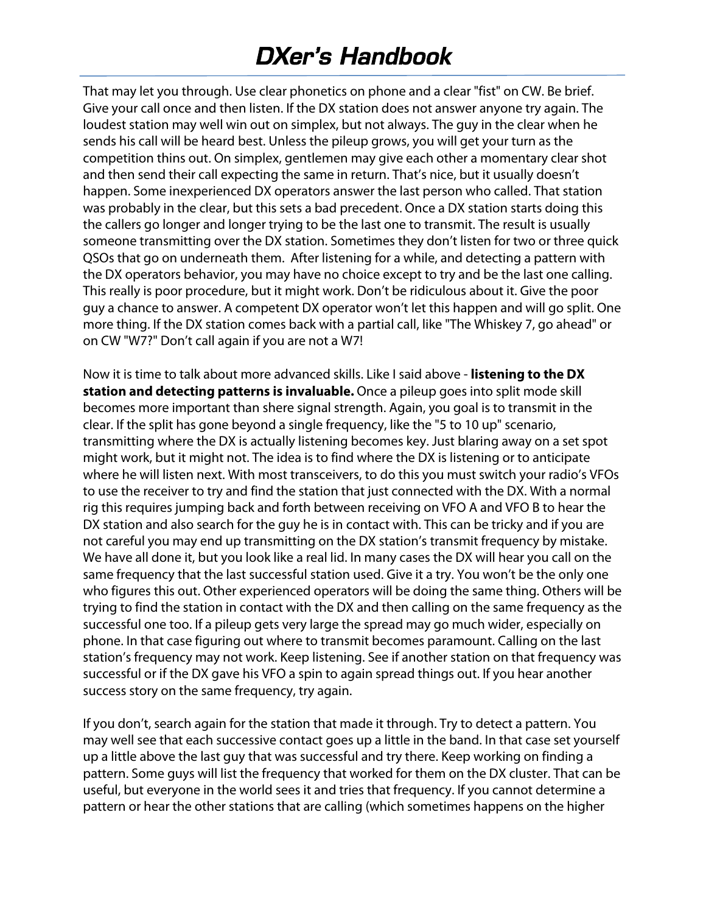That may let you through. Use clear phonetics on phone and a clear "fist" on CW. Be brief. Give your call once and then listen. If the DX station does not answer anyone try again. The loudest station may well win out on simplex, but not always. The guy in the clear when he sends his call will be heard best. Unless the pileup grows, you will get your turn as the competition thins out. On simplex, gentlemen may give each other a momentary clear shot and then send their call expecting the same in return. That's nice, but it usually doesn't happen. Some inexperienced DX operators answer the last person who called. That station was probably in the clear, but this sets a bad precedent. Once a DX station starts doing this the callers go longer and longer trying to be the last one to transmit. The result is usually someone transmitting over the DX station. Sometimes they don't listen for two or three quick QSOs that go on underneath them. After listening for a while, and detecting a pattern with the DX operators behavior, you may have no choice except to try and be the last one calling. This really is poor procedure, but it might work. Don't be ridiculous about it. Give the poor guy a chance to answer. A competent DX operator won't let this happen and will go split. One more thing. If the DX station comes back with a partial call, like "The Whiskey 7, go ahead" or on CW "W7?" Don't call again if you are not a W7!

Now it is time to talk about more advanced skills. Like I said above ‐ **listening to the DX station and detecting patterns is invaluable.** Once a pileup goes into split mode skill becomes more important than shere signal strength. Again, you goal is to transmit in the clear. If the split has gone beyond a single frequency, like the "5 to 10 up" scenario, transmitting where the DX is actually listening becomes key. Just blaring away on a set spot might work, but it might not. The idea is to find where the DX is listening or to anticipate where he will listen next. With most transceivers, to do this you must switch your radio's VFOs to use the receiver to try and find the station that just connected with the DX. With a normal rig this requires jumping back and forth between receiving on VFO A and VFO B to hear the DX station and also search for the guy he is in contact with. This can be tricky and if you are not careful you may end up transmitting on the DX station's transmit frequency by mistake. We have all done it, but you look like a real lid. In many cases the DX will hear you call on the same frequency that the last successful station used. Give it a try. You won't be the only one who figures this out. Other experienced operators will be doing the same thing. Others will be trying to find the station in contact with the DX and then calling on the same frequency as the successful one too. If a pileup gets very large the spread may go much wider, especially on phone. In that case figuring out where to transmit becomes paramount. Calling on the last station's frequency may not work. Keep listening. See if another station on that frequency was successful or if the DX gave his VFO a spin to again spread things out. If you hear another success story on the same frequency, try again.

If you don't, search again for the station that made it through. Try to detect a pattern. You may well see that each successive contact goes up a little in the band. In that case set yourself up a little above the last guy that was successful and try there. Keep working on finding a pattern. Some guys will list the frequency that worked for them on the DX cluster. That can be useful, but everyone in the world sees it and tries that frequency. If you cannot determine a pattern or hear the other stations that are calling (which sometimes happens on the higher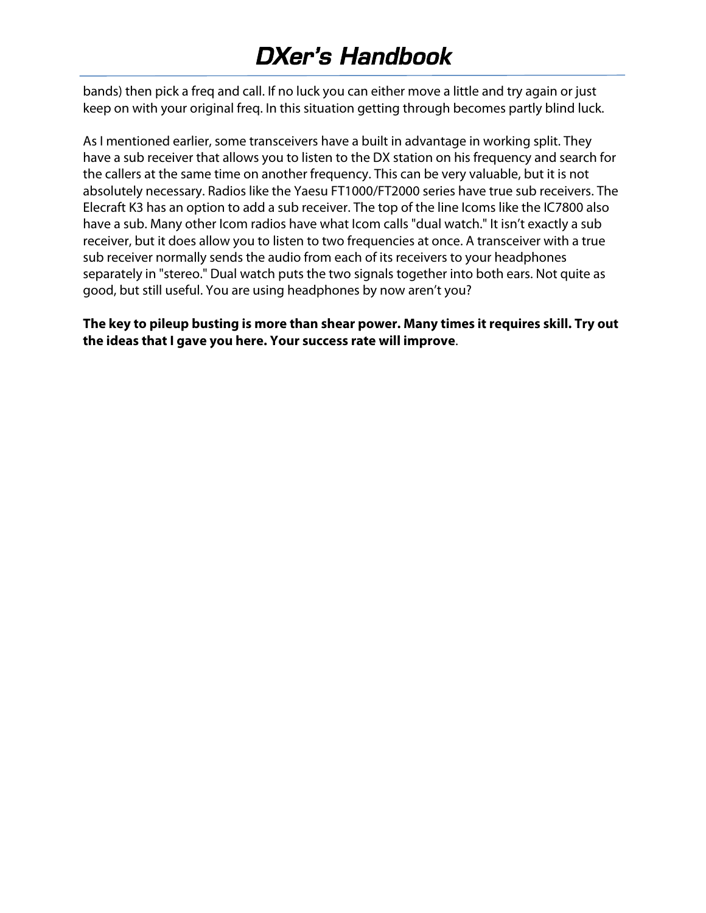bands) then pick a freq and call. If no luck you can either move a little and try again or just keep on with your original freq. In this situation getting through becomes partly blind luck.

As I mentioned earlier, some transceivers have a built in advantage in working split. They have a sub receiver that allows you to listen to the DX station on his frequency and search for the callers at the same time on another frequency. This can be very valuable, but it is not absolutely necessary. Radios like the Yaesu FT1000/FT2000 series have true sub receivers. The Elecraft K3 has an option to add a sub receiver. The top of the line Icoms like the IC7800 also have a sub. Many other Icom radios have what Icom calls "dual watch." It isn't exactly a sub receiver, but it does allow you to listen to two frequencies at once. A transceiver with a true sub receiver normally sends the audio from each of its receivers to your headphones separately in "stereo." Dual watch puts the two signals together into both ears. Not quite as good, but still useful. You are using headphones by now aren't you?

**The key to pileup busting is more than shear power. Many times it requires skill. Try out the ideas that I gave you here. Your success rate will improve**.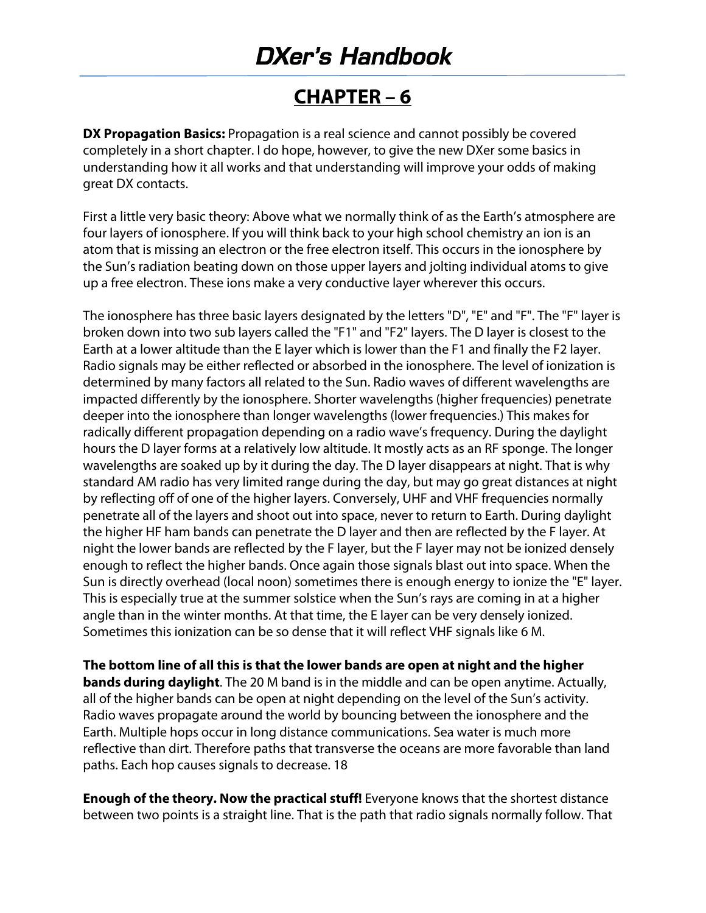#### **CHAPTER – 6**

**DX Propagation Basics:** Propagation is a real science and cannot possibly be covered completely in a short chapter. I do hope, however, to give the new DXer some basics in understanding how it all works and that understanding will improve your odds of making great DX contacts.

First a little very basic theory: Above what we normally think of as the Earth's atmosphere are four layers of ionosphere. If you will think back to your high school chemistry an ion is an atom that is missing an electron or the free electron itself. This occurs in the ionosphere by the Sun's radiation beating down on those upper layers and jolting individual atoms to give up a free electron. These ions make a very conductive layer wherever this occurs.

The ionosphere has three basic layers designated by the letters "D", "E" and "F". The "F" layer is broken down into two sub layers called the "F1" and "F2" layers. The D layer is closest to the Earth at a lower altitude than the E layer which is lower than the F1 and finally the F2 layer. Radio signals may be either reflected or absorbed in the ionosphere. The level of ionization is determined by many factors all related to the Sun. Radio waves of different wavelengths are impacted differently by the ionosphere. Shorter wavelengths (higher frequencies) penetrate deeper into the ionosphere than longer wavelengths (lower frequencies.) This makes for radically different propagation depending on a radio wave's frequency. During the daylight hours the D layer forms at a relatively low altitude. It mostly acts as an RF sponge. The longer wavelengths are soaked up by it during the day. The D layer disappears at night. That is why standard AM radio has very limited range during the day, but may go great distances at night by reflecting off of one of the higher layers. Conversely, UHF and VHF frequencies normally penetrate all of the layers and shoot out into space, never to return to Earth. During daylight the higher HF ham bands can penetrate the D layer and then are reflected by the F layer. At night the lower bands are reflected by the F layer, but the F layer may not be ionized densely enough to reflect the higher bands. Once again those signals blast out into space. When the Sun is directly overhead (local noon) sometimes there is enough energy to ionize the "E" layer. This is especially true at the summer solstice when the Sun's rays are coming in at a higher angle than in the winter months. At that time, the E layer can be very densely ionized. Sometimes this ionization can be so dense that it will reflect VHF signals like 6 M.

**The bottom line of all this is that the lower bands are open at night and the higher bands during daylight**. The 20 M band is in the middle and can be open anytime. Actually, all of the higher bands can be open at night depending on the level of the Sun's activity. Radio waves propagate around the world by bouncing between the ionosphere and the Earth. Multiple hops occur in long distance communications. Sea water is much more reflective than dirt. Therefore paths that transverse the oceans are more favorable than land paths. Each hop causes signals to decrease. 18

**Enough of the theory. Now the practical stuff!** Everyone knows that the shortest distance between two points is a straight line. That is the path that radio signals normally follow. That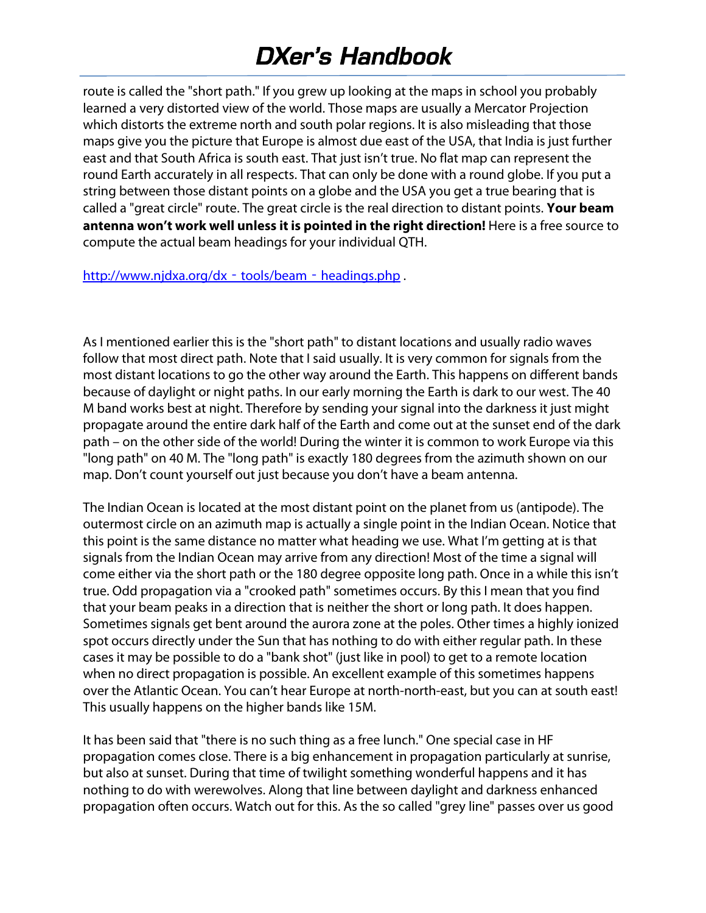route is called the "short path." If you grew up looking at the maps in school you probably learned a very distorted view of the world. Those maps are usually a Mercator Projection which distorts the extreme north and south polar regions. It is also misleading that those maps give you the picture that Europe is almost due east of the USA, that India is just further east and that South Africa is south east. That just isn't true. No flat map can represent the round Earth accurately in all respects. That can only be done with a round globe. If you put a string between those distant points on a globe and the USA you get a true bearing that is called a "great circle" route. The great circle is the real direction to distant points. **Your beam antenna won't work well unless it is pointed in the right direction!** Here is a free source to compute the actual beam headings for your individual QTH.

http://www.njdxa.org/dx - tools/beam - headings.php.

As I mentioned earlier this is the "short path" to distant locations and usually radio waves follow that most direct path. Note that I said usually. It is very common for signals from the most distant locations to go the other way around the Earth. This happens on different bands because of daylight or night paths. In our early morning the Earth is dark to our west. The 40 M band works best at night. Therefore by sending your signal into the darkness it just might propagate around the entire dark half of the Earth and come out at the sunset end of the dark path – on the other side of the world! During the winter it is common to work Europe via this "long path" on 40 M. The "long path" is exactly 180 degrees from the azimuth shown on our map. Don't count yourself out just because you don't have a beam antenna.

The Indian Ocean is located at the most distant point on the planet from us (antipode). The outermost circle on an azimuth map is actually a single point in the Indian Ocean. Notice that this point is the same distance no matter what heading we use. What I'm getting at is that signals from the Indian Ocean may arrive from any direction! Most of the time a signal will come either via the short path or the 180 degree opposite long path. Once in a while this isn't true. Odd propagation via a "crooked path" sometimes occurs. By this I mean that you find that your beam peaks in a direction that is neither the short or long path. It does happen. Sometimes signals get bent around the aurora zone at the poles. Other times a highly ionized spot occurs directly under the Sun that has nothing to do with either regular path. In these cases it may be possible to do a "bank shot" (just like in pool) to get to a remote location when no direct propagation is possible. An excellent example of this sometimes happens over the Atlantic Ocean. You can't hear Europe at north‐north‐east, but you can at south east! This usually happens on the higher bands like 15M.

It has been said that "there is no such thing as a free lunch." One special case in HF propagation comes close. There is a big enhancement in propagation particularly at sunrise, but also at sunset. During that time of twilight something wonderful happens and it has nothing to do with werewolves. Along that line between daylight and darkness enhanced propagation often occurs. Watch out for this. As the so called "grey line" passes over us good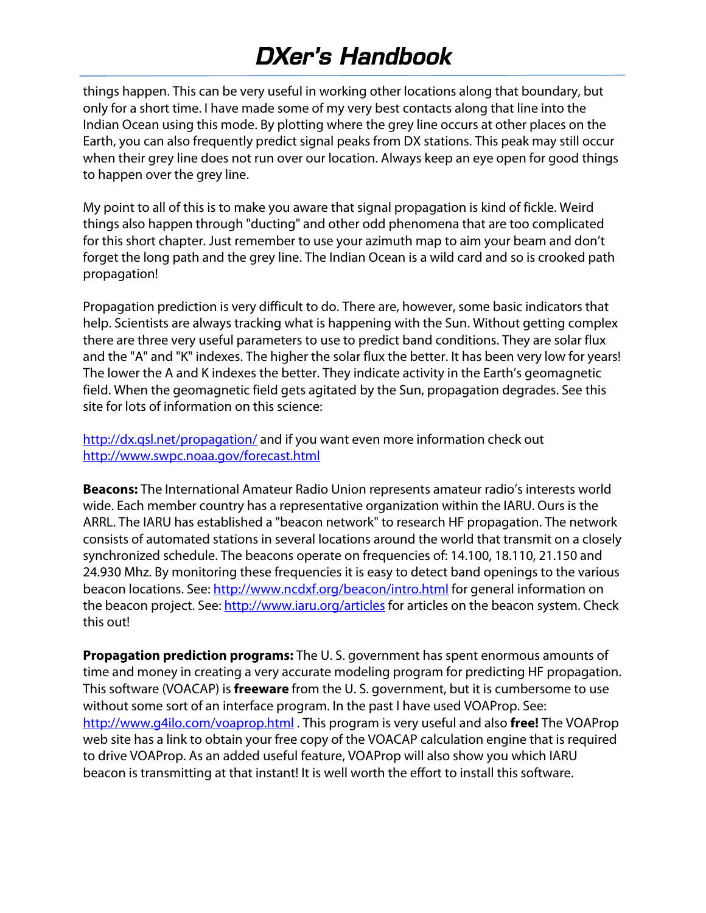things happen. This can be very useful in working other locations along that boundary, but only for a short time. I have made some of my very best contacts along that line into the Indian Ocean using this mode. By plotting where the grey line occurs at other places on the Earth, you can also frequently predict signal peaks from DX stations. This peak may still occur when their grey line does not run over our location. Always keep an eye open for good things to happen over the grey line.

My point to all of this is to make you aware that signal propagation is kind of fickle. Weird things also happen through "ducting" and other odd phenomena that are too complicated for this short chapter. Just remember to use your azimuth map to aim your beam and don't forget the long path and the grey line. The Indian Ocean is a wild card and so is crooked path propagation!

Propagation prediction is very difficult to do. There are, however, some basic indicators that help. Scientists are always tracking what is happening with the Sun. Without getting complex there are three very useful parameters to use to predict band conditions. They are solar flux and the "A" and "K" indexes. The higher the solar flux the better. It has been very low for years! The lower the A and K indexes the better. They indicate activity in the Earth's geomagnetic field. When the geomagnetic field gets agitated by the Sun, propagation degrades. See this site for lots of information on this science:

http://dx.qsl.net/propagation/ and if you want even more information check out http://www.swpc.noaa.gov/forecast.html

**Beacons:** The International Amateur Radio Union represents amateur radio's interests world wide. Each member country has a representative organization within the IARU. Ours is the ARRL. The IARU has established a "beacon network" to research HF propagation. The network consists of automated stations in several locations around the world that transmit on a closely synchronized schedule. The beacons operate on frequencies of: 14.100, 18.110, 21.150 and 24.930 Mhz. By monitoring these frequencies it is easy to detect band openings to the various beacon locations. See: http://www.ncdxf.org/beacon/intro.html for general information on the beacon project. See: http://www.iaru.org/articles for articles on the beacon system. Check this out!

**Propagation prediction programs:** The U. S. government has spent enormous amounts of time and money in creating a very accurate modeling program for predicting HF propagation. This software (VOACAP) is **freeware** from the U. S. government, but it is cumbersome to use without some sort of an interface program. In the past I have used VOAProp. See: http://www.g4ilo.com/voaprop.html . This program is very useful and also **free!** The VOAProp web site has a link to obtain your free copy of the VOACAP calculation engine that is required to drive VOAProp. As an added useful feature, VOAProp will also show you which IARU beacon is transmitting at that instant! It is well worth the effort to install this software.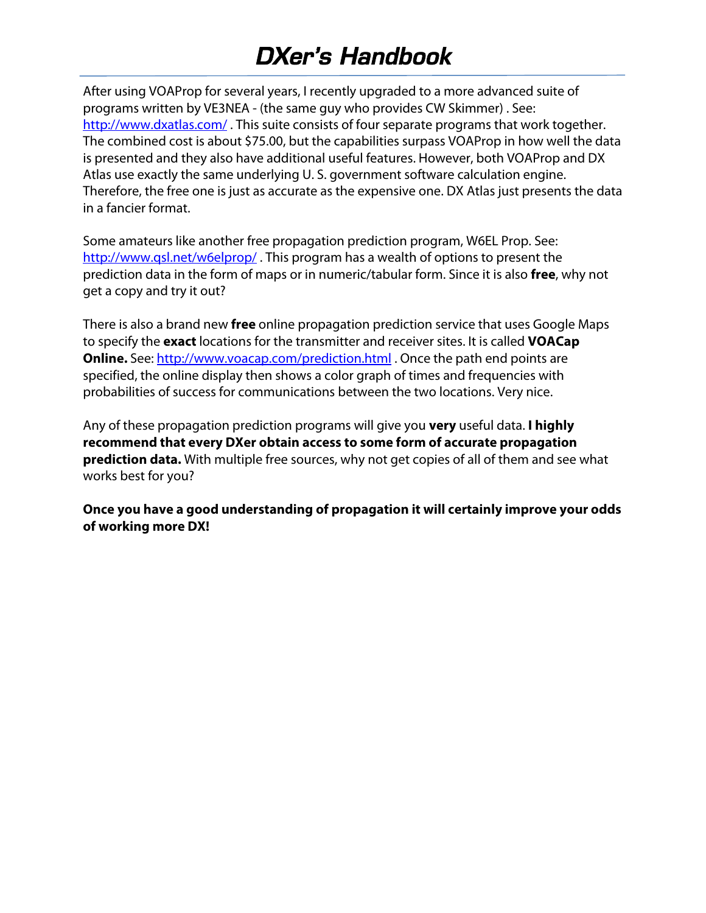After using VOAProp for several years, I recently upgraded to a more advanced suite of programs written by VE3NEA ‐ (the same guy who provides CW Skimmer) . See: http://www.dxatlas.com/ . This suite consists of four separate programs that work together. The combined cost is about \$75.00, but the capabilities surpass VOAProp in how well the data is presented and they also have additional useful features. However, both VOAProp and DX Atlas use exactly the same underlying U. S. government software calculation engine. Therefore, the free one is just as accurate as the expensive one. DX Atlas just presents the data in a fancier format.

Some amateurs like another free propagation prediction program, W6EL Prop. See: http://www.qsl.net/w6elprop/. This program has a wealth of options to present the prediction data in the form of maps or in numeric/tabular form. Since it is also **free**, why not get a copy and try it out?

There is also a brand new **free** online propagation prediction service that uses Google Maps to specify the **exact** locations for the transmitter and receiver sites. It is called **VOACap Online.** See: http://www.voacap.com/prediction.html . Once the path end points are specified, the online display then shows a color graph of times and frequencies with probabilities of success for communications between the two locations. Very nice.

Any of these propagation prediction programs will give you **very** useful data. **I highly recommend that every DXer obtain access to some form of accurate propagation prediction data.** With multiple free sources, why not get copies of all of them and see what works best for you?

**Once you have a good understanding of propagation it will certainly improve your odds of working more DX!**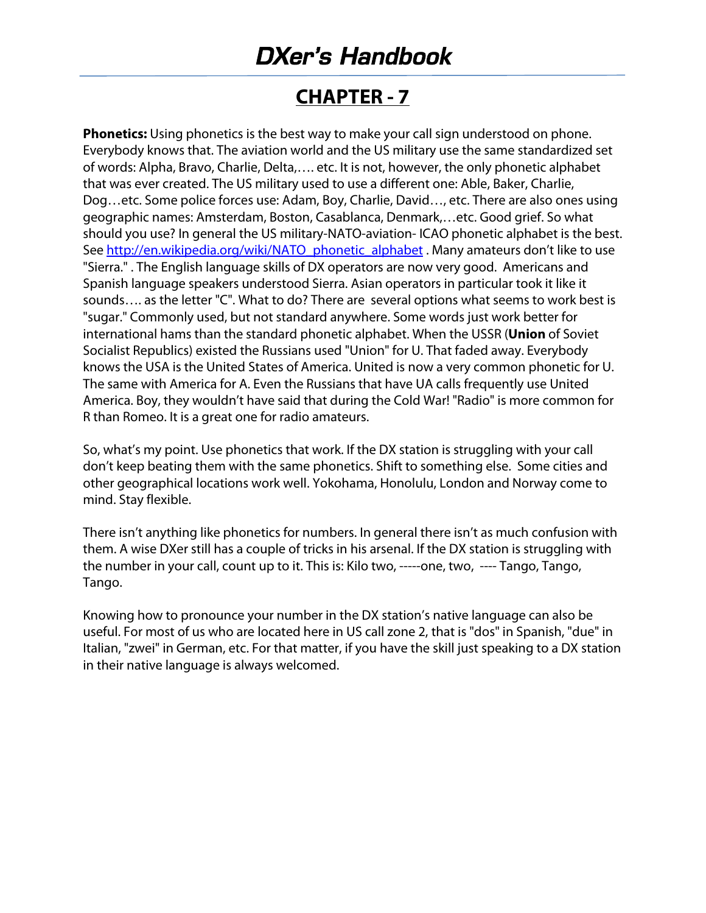#### **CHAPTER ‐ 7**

**Phonetics:** Using phonetics is the best way to make your call sign understood on phone. Everybody knows that. The aviation world and the US military use the same standardized set of words: Alpha, Bravo, Charlie, Delta,…. etc. It is not, however, the only phonetic alphabet that was ever created. The US military used to use a different one: Able, Baker, Charlie, Dog…etc. Some police forces use: Adam, Boy, Charlie, David…, etc. There are also ones using geographic names: Amsterdam, Boston, Casablanca, Denmark,…etc. Good grief. So what should you use? In general the US military‐NATO‐aviation‐ ICAO phonetic alphabet is the best. See http://en.wikipedia.org/wiki/NATO\_phonetic\_alphabet . Many amateurs don't like to use "Sierra." . The English language skills of DX operators are now very good. Americans and Spanish language speakers understood Sierra. Asian operators in particular took it like it sounds…. as the letter "C". What to do? There are several options what seems to work best is "sugar." Commonly used, but not standard anywhere. Some words just work better for international hams than the standard phonetic alphabet. When the USSR (**Union** of Soviet Socialist Republics) existed the Russians used "Union" for U. That faded away. Everybody knows the USA is the United States of America. United is now a very common phonetic for U. The same with America for A. Even the Russians that have UA calls frequently use United America. Boy, they wouldn't have said that during the Cold War! "Radio" is more common for R than Romeo. It is a great one for radio amateurs.

So, what's my point. Use phonetics that work. If the DX station is struggling with your call don't keep beating them with the same phonetics. Shift to something else. Some cities and other geographical locations work well. Yokohama, Honolulu, London and Norway come to mind. Stay flexible.

There isn't anything like phonetics for numbers. In general there isn't as much confusion with them. A wise DXer still has a couple of tricks in his arsenal. If the DX station is struggling with the number in your call, count up to it. This is: Kilo two, ‐‐‐‐‐one, two, ‐‐‐‐ Tango, Tango, Tango.

Knowing how to pronounce your number in the DX station's native language can also be useful. For most of us who are located here in US call zone 2, that is "dos" in Spanish, "due" in Italian, "zwei" in German, etc. For that matter, if you have the skill just speaking to a DX station in their native language is always welcomed.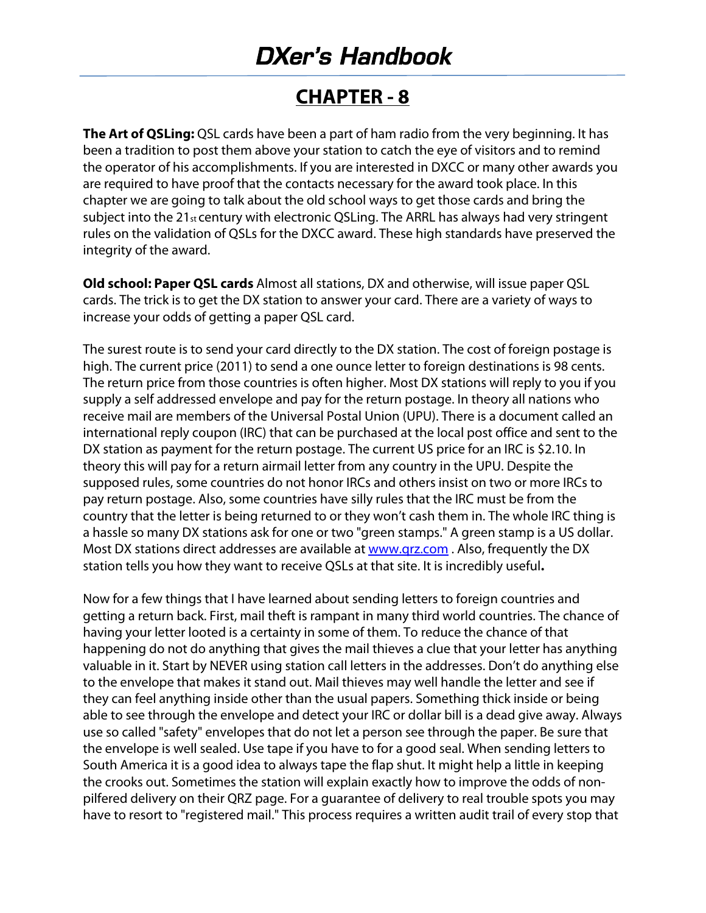#### **CHAPTER ‐ 8**

**The Art of QSLing:** QSL cards have been a part of ham radio from the very beginning. It has been a tradition to post them above your station to catch the eye of visitors and to remind the operator of his accomplishments. If you are interested in DXCC or many other awards you are required to have proof that the contacts necessary for the award took place. In this chapter we are going to talk about the old school ways to get those cards and bring the subject into the 21st century with electronic QSLing. The ARRL has always had very stringent rules on the validation of QSLs for the DXCC award. These high standards have preserved the integrity of the award.

**Old school: Paper QSL cards** Almost all stations, DX and otherwise, will issue paper QSL cards. The trick is to get the DX station to answer your card. There are a variety of ways to increase your odds of getting a paper QSL card.

The surest route is to send your card directly to the DX station. The cost of foreign postage is high. The current price (2011) to send a one ounce letter to foreign destinations is 98 cents. The return price from those countries is often higher. Most DX stations will reply to you if you supply a self addressed envelope and pay for the return postage. In theory all nations who receive mail are members of the Universal Postal Union (UPU). There is a document called an international reply coupon (IRC) that can be purchased at the local post office and sent to the DX station as payment for the return postage. The current US price for an IRC is \$2.10. In theory this will pay for a return airmail letter from any country in the UPU. Despite the supposed rules, some countries do not honor IRCs and others insist on two or more IRCs to pay return postage. Also, some countries have silly rules that the IRC must be from the country that the letter is being returned to or they won't cash them in. The whole IRC thing is a hassle so many DX stations ask for one or two "green stamps." A green stamp is a US dollar. Most DX stations direct addresses are available at www.qrz.com. Also, frequently the DX station tells you how they want to receive QSLs at that site. It is incredibly useful**.** 

Now for a few things that I have learned about sending letters to foreign countries and getting a return back. First, mail theft is rampant in many third world countries. The chance of having your letter looted is a certainty in some of them. To reduce the chance of that happening do not do anything that gives the mail thieves a clue that your letter has anything valuable in it. Start by NEVER using station call letters in the addresses. Don't do anything else to the envelope that makes it stand out. Mail thieves may well handle the letter and see if they can feel anything inside other than the usual papers. Something thick inside or being able to see through the envelope and detect your IRC or dollar bill is a dead give away. Always use so called "safety" envelopes that do not let a person see through the paper. Be sure that the envelope is well sealed. Use tape if you have to for a good seal. When sending letters to South America it is a good idea to always tape the flap shut. It might help a little in keeping the crooks out. Sometimes the station will explain exactly how to improve the odds of non‐ pilfered delivery on their QRZ page. For a guarantee of delivery to real trouble spots you may have to resort to "registered mail." This process requires a written audit trail of every stop that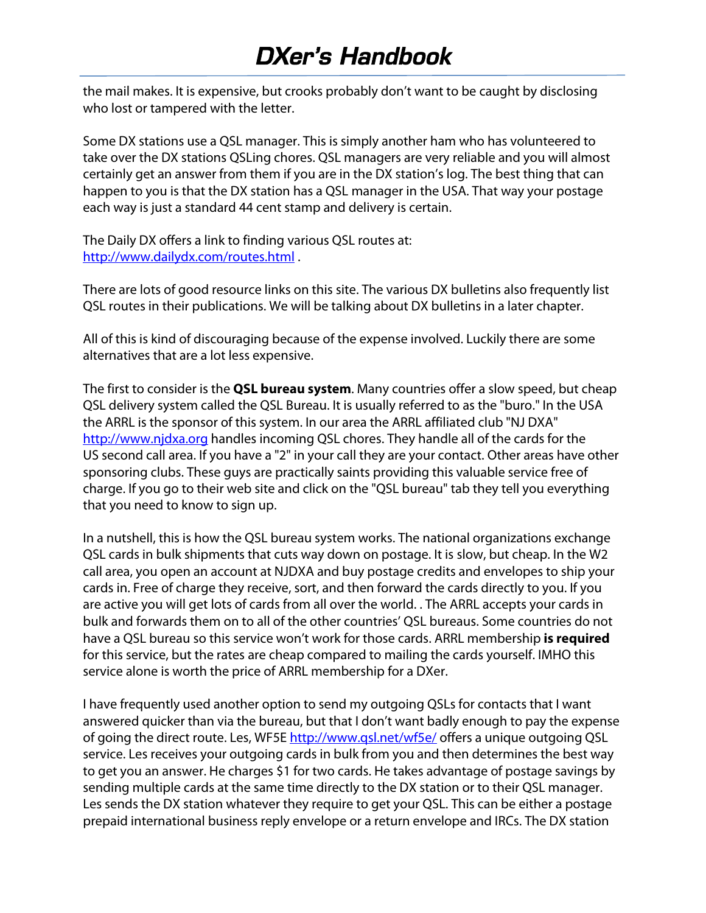the mail makes. It is expensive, but crooks probably don't want to be caught by disclosing who lost or tampered with the letter.

Some DX stations use a QSL manager. This is simply another ham who has volunteered to take over the DX stations QSLing chores. QSL managers are very reliable and you will almost certainly get an answer from them if you are in the DX station's log. The best thing that can happen to you is that the DX station has a QSL manager in the USA. That way your postage each way is just a standard 44 cent stamp and delivery is certain.

The Daily DX offers a link to finding various QSL routes at: http://www.dailydx.com/routes.html .

There are lots of good resource links on this site. The various DX bulletins also frequently list QSL routes in their publications. We will be talking about DX bulletins in a later chapter.

All of this is kind of discouraging because of the expense involved. Luckily there are some alternatives that are a lot less expensive.

The first to consider is the **QSL bureau system**. Many countries offer a slow speed, but cheap QSL delivery system called the QSL Bureau. It is usually referred to as the "buro." In the USA the ARRL is the sponsor of this system. In our area the ARRL affiliated club "NJ DXA" http://www.njdxa.org handles incoming QSL chores. They handle all of the cards for the US second call area. If you have a "2" in your call they are your contact. Other areas have other sponsoring clubs. These guys are practically saints providing this valuable service free of charge. If you go to their web site and click on the "QSL bureau" tab they tell you everything that you need to know to sign up.

In a nutshell, this is how the QSL bureau system works. The national organizations exchange QSL cards in bulk shipments that cuts way down on postage. It is slow, but cheap. In the W2 call area, you open an account at NJDXA and buy postage credits and envelopes to ship your cards in. Free of charge they receive, sort, and then forward the cards directly to you. If you are active you will get lots of cards from all over the world. . The ARRL accepts your cards in bulk and forwards them on to all of the other countries' QSL bureaus. Some countries do not have a QSL bureau so this service won't work for those cards. ARRL membership **is required**  for this service, but the rates are cheap compared to mailing the cards yourself. IMHO this service alone is worth the price of ARRL membership for a DXer.

I have frequently used another option to send my outgoing QSLs for contacts that I want answered quicker than via the bureau, but that I don't want badly enough to pay the expense of going the direct route. Les, WF5E http://www.gsl.net/wf5e/ offers a unique outgoing QSL service. Les receives your outgoing cards in bulk from you and then determines the best way to get you an answer. He charges \$1 for two cards. He takes advantage of postage savings by sending multiple cards at the same time directly to the DX station or to their QSL manager. Les sends the DX station whatever they require to get your QSL. This can be either a postage prepaid international business reply envelope or a return envelope and IRCs. The DX station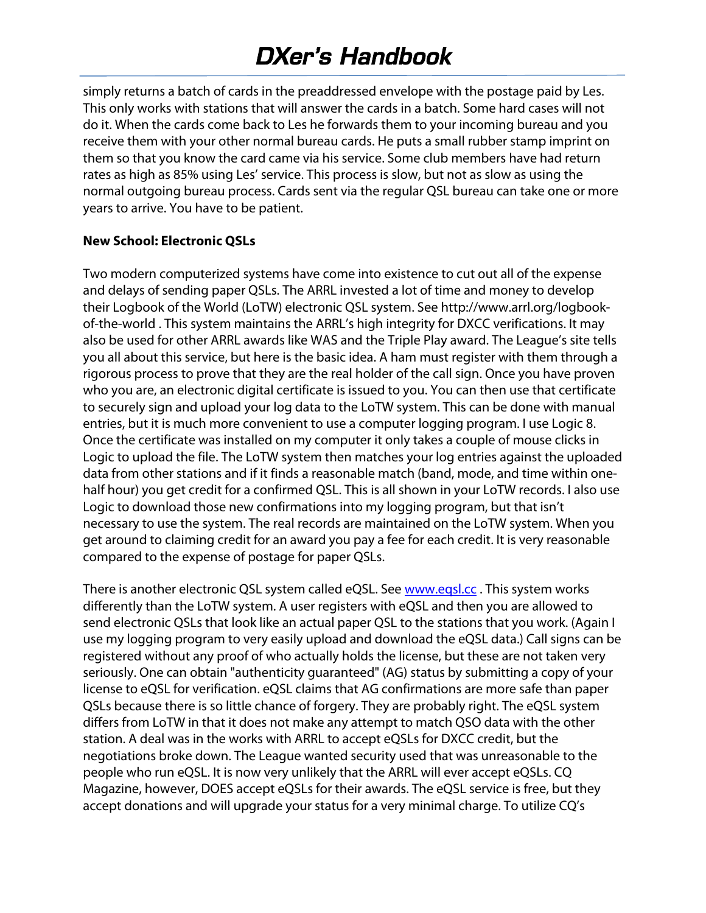simply returns a batch of cards in the preaddressed envelope with the postage paid by Les. This only works with stations that will answer the cards in a batch. Some hard cases will not do it. When the cards come back to Les he forwards them to your incoming bureau and you receive them with your other normal bureau cards. He puts a small rubber stamp imprint on them so that you know the card came via his service. Some club members have had return rates as high as 85% using Les' service. This process is slow, but not as slow as using the normal outgoing bureau process. Cards sent via the regular QSL bureau can take one or more years to arrive. You have to be patient.

#### **New School: Electronic QSLs**

Two modern computerized systems have come into existence to cut out all of the expense and delays of sending paper QSLs. The ARRL invested a lot of time and money to develop their Logbook of the World (LoTW) electronic QSL system. See http://www.arrl.org/logbook‐ of-the-world . This system maintains the ARRL's high integrity for DXCC verifications. It may also be used for other ARRL awards like WAS and the Triple Play award. The League's site tells you all about this service, but here is the basic idea. A ham must register with them through a rigorous process to prove that they are the real holder of the call sign. Once you have proven who you are, an electronic digital certificate is issued to you. You can then use that certificate to securely sign and upload your log data to the LoTW system. This can be done with manual entries, but it is much more convenient to use a computer logging program. I use Logic 8. Once the certificate was installed on my computer it only takes a couple of mouse clicks in Logic to upload the file. The LoTW system then matches your log entries against the uploaded data from other stations and if it finds a reasonable match (band, mode, and time within one‐ half hour) you get credit for a confirmed QSL. This is all shown in your LoTW records. I also use Logic to download those new confirmations into my logging program, but that isn't necessary to use the system. The real records are maintained on the LoTW system. When you get around to claiming credit for an award you pay a fee for each credit. It is very reasonable compared to the expense of postage for paper QSLs.

There is another electronic QSL system called eQSL. See www.eqsl.cc. This system works differently than the LoTW system. A user registers with eQSL and then you are allowed to send electronic QSLs that look like an actual paper QSL to the stations that you work. (Again I use my logging program to very easily upload and download the eQSL data.) Call signs can be registered without any proof of who actually holds the license, but these are not taken very seriously. One can obtain "authenticity guaranteed" (AG) status by submitting a copy of your license to eQSL for verification. eQSL claims that AG confirmations are more safe than paper QSLs because there is so little chance of forgery. They are probably right. The eQSL system differs from LoTW in that it does not make any attempt to match QSO data with the other station. A deal was in the works with ARRL to accept eQSLs for DXCC credit, but the negotiations broke down. The League wanted security used that was unreasonable to the people who run eQSL. It is now very unlikely that the ARRL will ever accept eQSLs. CQ Magazine, however, DOES accept eQSLs for their awards. The eQSL service is free, but they accept donations and will upgrade your status for a very minimal charge. To utilize CQ's